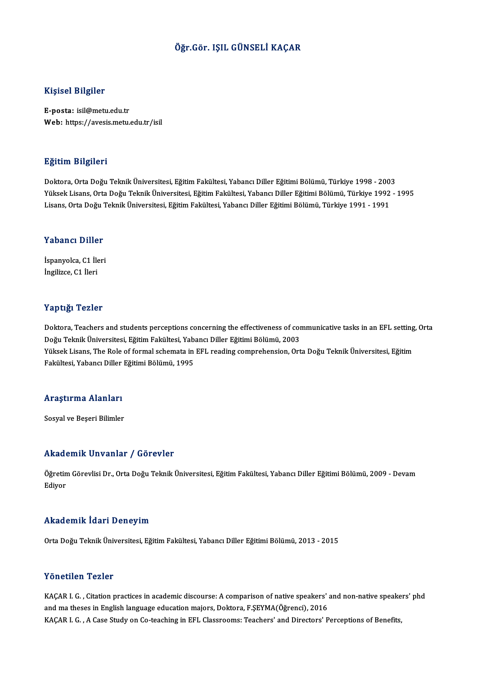### Öğr.Gör. IŞIL GÜNSELİ KAÇAR

### Kişisel Bilgiler

E-posta: isil@metu.edu.tr Web: https://avesis.metu.edu.tr/isil

#### Eğitim Bilgileri

Doktora,OrtaDoğuTeknikÜniversitesi,EğitimFakültesi,YabancıDiler EğitimiBölümü,Türkiye 1998 -2003 YüksekLisans,OrtaDoğuTeknikÜniversitesi,EğitimFakültesi,YabancıDiler EğitimiBölümü,Türkiye 1992 -1995 Lisans, Orta Doğu Teknik Üniversitesi, Eğitim Fakültesi, Yabancı Diller Eğitimi Bölümü, Türkiye 1991 - 1991

# Lisans, orta bogu<br>Yabancı Diller

Yabancı Diller<br>İspanyolca, C1 İleri<br>İngilizce C1 İleri İspanyolca, C1 İleri<br>İngilizce, C1 İleri

#### Yaptığı Tezler

Yaptığı Tezler<br>Doktora, Teachers and students perceptions concerning the effectiveness of communicative tasks in an EFL setting, Orta<br>Doğu Telmik Üniversitesi, Eğitim Fekültesi, Yabangı Diller Eğitimi Bölümü, 2002 1 ap 13,1 1 02111<br>Doktora, Teachers and students perceptions concerning the effectiveness of cor<br>Doğu Teknik Üniversitesi, Eğitim Fakültesi, Yabancı Diller Eğitimi Bölümü, 2003<br>Vülgek Lisans, The Bole of formal schemata in Doktora, Teachers and students perceptions concerning the effectiveness of communicative tasks in an EFL setting<br>Doğu Teknik Üniversitesi, Eğitim Fakültesi, Yabancı Diller Eğitimi Bölümü, 2003<br>Yüksek Lisans, The Role of fo Doğu Teknik Üniversitesi, Eğitim Fakültesi, Yabancı Diller Eğitimi Bölümü, 2003<br>Yüksek Lisans, The Role of formal schemata in EFL reading comprehension, Orta Doğu Teknik Üniversitesi, Eğitim<br>Fakültesi, Yabancı Diller Eğiti

## rakultesi, rabancı Diller<br>Araştırma Alanları <mark>Araştırma Alanları</mark><br>Sosyal ve Beşeri Bilimler

## Akademik Unvanlar / Görevler

Akademik Unvanlar / Görevler<br>Öğretim Görevlisi Dr., Orta Doğu Teknik Üniversitesi, Eğitim Fakültesi, Yabancı Diller Eğitimi Bölümü, 2009 - Devam<br>Ediyor rrraat<br>Öğretin<br>Ediyor

## Ediyor<br>Akademik İdari Deneyim

Orta Doğu Teknik Üniversitesi, Eğitim Fakültesi, Yabancı Diller Eğitimi Bölümü, 2013 - 2015

#### Yönetilen Tezler

KAÇAR I. G., Citation practices in academic discourse: A comparison of native speakers' and non-native speakers' phd and ma theses in English language education majors, Doktora, F.ŞEYMA(Öğrenci), 2016 KAÇAR I. G., A Case Study on Co-teaching in EFL Classrooms: Teachers' and Directors' Perceptions of Benefits,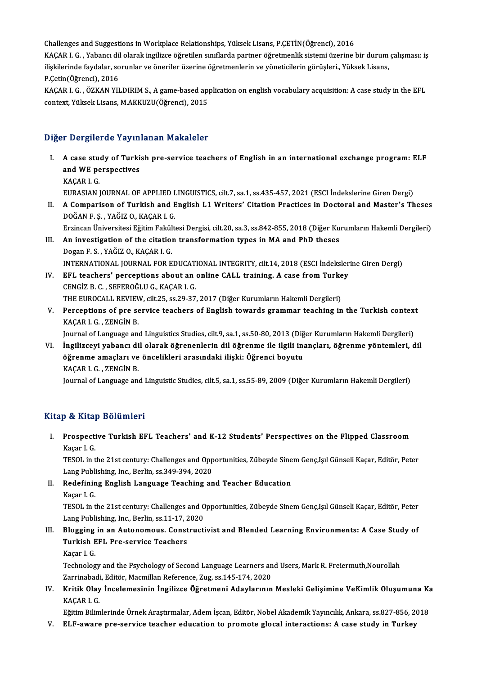Challenges and Suggestions in Workplace Relationships, Yüksek Lisans, P.ÇETİN(Öğrenci), 2016 Challenges and Suggestions in Workplace Relationships, Yüksek Lisans, P.ÇETİN(Öğrenci), 2016<br>KAÇAR I. G. , Yabancı dil olarak ingilizce öğretilen sınıflarda partner öğretmenlik sistemi üzerine bir durum çalışması: iş<br>ilidd Challenges and Suggestions in Workplace Relationships, Yüksek Lisans, P.ÇETİN(Öğrenci), 2016<br>KAÇAR I. G. , Yabancı dil olarak ingilizce öğretilen sınıflarda partner öğretmenlik sistemi üzerine bir durum<br>ilişkilerinde fayda KAÇAR I. G. , Yabancı dil<br>ilişkilerinde faydalar, so<br>P.Çetin(Öğrenci), 2016<br>KAÇAR I. Ç., ÖZKAN VII ilişkilerinde faydalar, sorunlar ve öneriler üzerine öğretmenlerin ve yöneticilerin görüşleri., Yüksek Lisans,<br>P.Çetin(Öğrenci), 2016<br>KAÇAR I. G. , ÖZKAN YILDIRIM S., A game-based application on english vocabulary acquisit

P.Çetin(Öğrenci), 2016<br>KAÇAR I. G. , ÖZKAN YILDIRIM S., A game-based ap<sub>l</sub><br>context, Yüksek Lisans, M.AKKUZU(Öğrenci), 2015

## context, Yüksek Lisans, M.AKKUZU(Öğrenci), 2015<br>Diğer Dergilerde Yayınlanan Makaleler

- Iger Dergilerde Yayınlanan Makaleler<br>I. A case study of Turkish pre-service teachers of English in an international exchange program: ELF<br>2014 WE perspectives A case study of Turki<br>and WE perspectives and WE perspectives<br>KACAR I. G. and WE perspectives<br>KAÇAR I. G.<br>EURASIAN JOURNAL OF APPLIED LINGUISTICS, cilt.7, sa.1, ss.435-457, 2021 (ESCI İndekslerine Giren Dergi)<br>A Composison of Turkish and English I.1 Writons' Citation Prestises in Dostanal and Me
- II. A Comparison of Turkish and English L1 Writers' Citation Practices in Doctoral and Master's Theses<br>DOĞAN F. S., YAĞIZ O., KAÇAR I. G. EURASIAN JOURNAL OF APPLIED L<br>A Comparison of Turkish and E<br>DOĞAN F. Ş. , YAĞIZ O., KAÇAR I. G.<br>Erringen Üniversitesi Eğitim Feltült A Comparison of Turkish and English L1 Writers' Citation Practices in Doctoral and Master's Theses<br>DOĞAN F. Ş. , YAĞIZ O., KAÇAR I. G.<br>Erzincan Üniversitesi Eğitim Fakültesi Dergisi, cilt.20, sa.3, ss.842-855, 2018 (Diğer
- III. An investigation of the citation transformation types in MA and PhD theses<br>Dogan F. S., YAĞIZ O., KACAR I. G. Erzincan Üniversitesi Eğitim Fakül<br>An investigation of the citatio:<br>Dogan F. S. , YAĞIZ O., KAÇAR I. G.<br>INTERNATIONAL JOURNAL FOR E An investigation of the citation transformation types in MA and PhD theses<br>Dogan F. S. , YAĞIZ O., KAÇAR I. G.<br>INTERNATIONAL JOURNAL FOR EDUCATIONAL INTEGRITY, cilt.14, 2018 (ESCI İndekslerine Giren Dergi)<br>FEL taasbars' pe Dogan F. S. , YAĞIZ O., KAÇAR I. G.<br>INTERNATIONAL JOURNAL FOR EDUCATIONAL INTEGRITY, cilt.14, 2018 (ESCI İndeksler<br>IV. EFL teachers' perceptions about an online CALL training. A case from Turkey
- INTERNATIONAL JOURNAL FOR EDUCAT.<br>EFL teachers' perceptions about an<br>CENGİZ B.C. , SEFEROĞLU G., KAÇAR I. G.<br>THE EUROCALL PEVIEW, cit 25, cc 29, 27. EFL teachers' perceptions about an online CALL training. A case from Turke<br>CENGİZ B. C. , SEFEROĞLU G., KAÇAR I. G.<br>THE EUROCALL REVIEW, cilt.25, ss.29-37, 2017 (Diğer Kurumların Hakemli Dergileri)<br>Persentions of pre servi CENGİZ B. C. , SEFEROĞLU G., KAÇAR I. G.<br>THE EUROCALL REVIEW, cilt.25, ss.29-37, 2017 (Diğer Kurumların Hakemli Dergileri)<br>V. Perceptions of pre service teachers of English towards grammar teaching in the Turkish conte
- THE EUROCALL REVIEV<br>Perceptions of pre se<br>KAÇAR I. G. , ZENGİN B.<br>Journal of Language and Perceptions of pre service teachers of English towards grammar teaching in the Turkish contex<br>KAÇAR I. G. , ZENGİN B.<br>Journal of Language and Linguistics Studies, cilt.9, sa.1, ss.50-80, 2013 (Diğer Kurumların Hakemli Derg

KAÇAR I. G. , ZENGİN B.<br>Journal of Language and Linguistics Studies, cilt.9, sa.1, ss.50-80, 2013 (Diğer Kurumların Hakemli Dergileri)<br>VI. İngilizceyi yabancı dil olarak öğrenenlerin dil öğrenme ile ilgili inançları, öğren Journal of Language and Linguistics Studies, cilt.9, sa.1, ss.50-80, 2013 (Diğer Kurumların Hakemli Dergileri)<br>İngilizceyi yabancı dil olarak öğrenenlerin dil öğrenme ile ilgili inançları, öğrenme yöntemleri, d<br>Öğrenme ama İngilizceyi yabancı di<br>öğrenme amaçları ve<br>KAÇAR I. G. , ZENGİN B.<br>Journal of Language an

Journal of Language and Linguistic Studies, cilt.5, sa.1, ss.55-89, 2009 (Diğer Kurumların Hakemli Dergileri)

### Kitap & Kitap Bölümleri

Itap & Kitap Bölümleri<br>I. Prospective Turkish EFL Teachers' and K-12 Students' Perspectives on the Flipped Classroom<br>Kasar L.C Person<br>Prospecti<br>Kaçar I. G.<br>TESOL in t Prospective Turkish EFL Teachers' and K-12 Students' Perspectives on the Flipped Classroom<br>Kaçar I. G.<br>TESOL in the 21st century: Challenges and Opportunities, Zübeyde Sinem Genç,Işıl Günseli Kaçar, Editör, Peter<br>Lang Publ

Kaçar I. G.<br>TESOL in the 21st century: Challenges and Opp<br>Lang Publishing, Inc., Berlin, ss.349-394, 2020<br>Redefining English Language Teaching an TESOL in the 21st century: Challenges and Opportunities, Zübeyde Sine<br>Lang Publishing, Inc., Berlin, ss.349-394, 2020<br>II. Redefining English Language Teaching and Teacher Education<br>Kasar J.C.

Lang Publishing, Inc., Berlin, ss.349-394, 2020<br>II. Redefining English Language Teaching and Teacher Education<br>Kaçar I. G.

Redefining English Language Teaching and Teacher Education<br>Kaçar I. G.<br>TESOL in the 21st century: Challenges and Opportunities, Zübeyde Sinem Genç,Işıl Günseli Kaçar, Editör, Peter<br>Lang Puhlishing Jne, Perlin, 99,11,17,202 Kaçar I. G.<br>TESOL in the 21st century: Challenges and O<br>Lang Publishing, Inc., Berlin, ss.11-17, 2020<br>Plegging in an Autonomous, Constructi TESOL in the 21st century: Challenges and Opportunities, Zübeyde Sinem Genç,Işıl Günseli Kaçar, Editör, Peter<br>Lang Publishing, Inc., Berlin, ss.11-17, 2020<br>III. Blogging in an Autonomous. Constructivist and Blended Learnin

### Lang Publishing, Inc., Berlin, ss.11-17, 2<br>Blogging in an Autonomous. Const<br>Turkish EFL Pre-service Teachers<br>Kasar I C Blogging<br>Turkish E<br>Kaçar I. G.<br>Technolog

Turkish EFL Pre-service Teachers<br>Kaçar I. G.<br>Technology and the Psychology of Second Language Learners and Users, Mark R. Freiermuth,Nourollah<br>Zarrinshedi, Editär, Magmillan Reference, Zug, se 145, 174, 2020. Kaçar I. G.<br>Technology and the Psychology of Second Language Learners an<br>Zarrinabadi, Editör, Macmillan Reference, Zug, ss.145-174, 2020<br>Kritik Olay İngelemesinin İngilizee Öğretmeni Adevlerunu Zarrinabadi, Editör, Macmillan Reference, Zug, ss.145-174, 2020

IV. Kritik Olay İncelemesinin İngilizce Öğretmeni Adaylarının Mesleki Gelişimine VeKimlik Oluşumuna Ka<br>KAÇAR I. G. Kritik Olay İncelemesinin İngilizce Öğretmeni Adaylarının Mesleki Gelişimine VeKimlik Oluşumuna Ka<br>KAÇAR I. G.<br>Eğitim Bilimlerinde Örnek Araştırmalar, Adem İşcan, Editör, Nobel Akademik Yayıncılık, Ankara, ss.827-856, 2018 KAÇAR I. G.<br>Eğitim Bilimlerinde Örnek Araştırmalar, Adem İşcan, Editör, Nobel Akademik Yayıncılık, Ankara, ss.827-856, 2<br>V. ELF-aware pre-service teacher education to promote glocal interactions: A case study in Turkey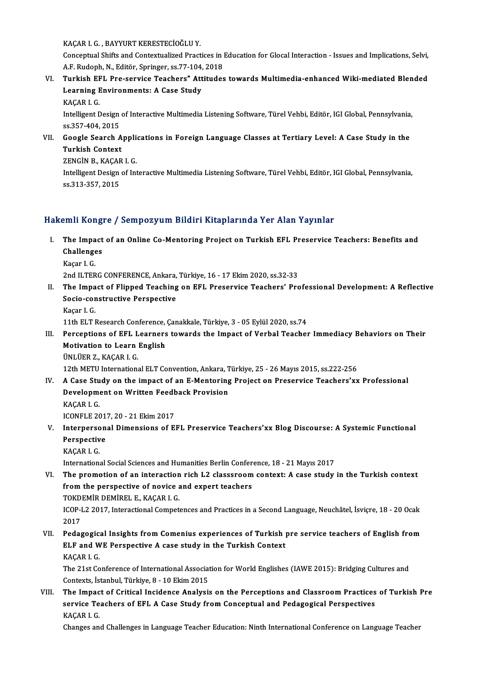KAÇAR I. G., BAYYURT KERESTECİOĞLU Y.

KAÇAR I. G. , BAYYURT KERESTECİOĞLU Y.<br>Conceptual Shifts and Contextualized Practices in Education for Glocal Interaction - Issues and Implications, Selvi, KAÇAR I. G. , BAYYURT KERESTECİOĞLU Y.<br>Conceptual Shifts and Contextualized Practices in 1<br>A.F. Rudoph, N., Editör, Springer, ss.77-104, 2018<br>Tunkish EEL, Pre servise Tessbers", Attitudes Conceptual Shifts and Contextualized Practices in Education for Glocal Interaction - Issues and Implications, Selvi,<br>A.F. Rudoph, N., Editör, Springer, ss.77-104, 2018<br>VI. Turkish EFL Pre-service Teachers" Attitudes toward

A.F. Rudoph, N., Editör, Springer, ss.77-104,<br>Turkish EFL Pre-service Teachers" Att<br>Learning Environments: A Case Study<br>KACAP L.C Turkish E<mark>F</mark><br>Learning F<br>KAÇAR I. G.<br>Intelligent E Learning Environments: A Case Study<br>KAÇAR I. G.<br>Intelligent Design of Interactive Multimedia Listening Software, Türel Vehbi, Editör, IGI Global, Pennsylvania,

KAÇAR I. G.<br>Intelligent Design<br>ss.357-404, 2015<br>Coogle Search Intelligent Design of Interactive Multimedia Listening Software, Türel Vehbi, Editör, IGI Global, Pennsylvania,<br>ss.357-404, 2015<br>VII. Google Search Applications in Foreign Language Classes at Tertiary Level: A Case Study i

### ss.357-404, 2015<br>Google Search A<br>Turkish Context<br>ZENCIN B. KACAB Google Search Applic<br>Turkish Context<br>ZENGİN B., KAÇAR I. G.<br>Intelligent Design of Int

ZENGIN B., KAÇAR I. G.

Turkish Context<br>ZENGİN B., KAÇAR I. G.<br>Intelligent Design of Interactive Multimedia Listening Software, Türel Vehbi, Editör, IGI Global, Pennsylvania,<br>ss.313-357, 2015

### Hakemli Kongre / Sempozyum Bildiri Kitaplarında Yer Alan Yayınlar

- akemli Kongre / Sempozyum Bildiri Kitaplarında Yer Alan Yayınlar<br>I. The Impact of an Online Co-Mentoring Project on Turkish EFL Preservice Teachers: Benefits and<br>Challanges Finn Rong.<br>The Impact<br>Challenges The Impa<br>Challenge<br>Kaçar I. G.<br>2nd II TEP Challenges<br>Kaçar I. G.<br>2nd ILTERG CONFERENCE, Ankara, Türkiye, 16 - 17 Ekim 2020, ss.32-33
	-

- Kaçar I. G.<br>2nd ILTERG CONFERENCE, Ankara, Türkiye, 16 17 Ekim 2020, ss.32-33<br>II. The Impact of Flipped Teaching on EFL Preservice Teachers' Professional Development: A Reflective<br>Socio constructive Perspective 2nd ILTERG CONFERENCE, Ankara,<br>The Impact of Flipped Teaching<br>Socio-constructive Perspective<br>Kasar L.C. The Impa<br>Socio-cor<br>Kaçar I. G.<br>11th ELT I Socio-constructive Perspective<br>Kaçar I. G.<br>11th ELT Research Conference, Çanakkale, Türkiye, 3 - 05 Eylül 2020, ss.74<br>Persentions of EEL Learners tewards the Impest of Verhal Teacher
	-

Kaçar I. G.<br>11th ELT Research Conference, Çanakkale, Türkiye, 3 - 05 Eylül 2020, ss.74<br>III. Perceptions of EFL Learners towards the Impact of Verbal Teacher Immediacy Behaviors on Their<br>Metivation to Learn English 11th ELT Research Conference,<br>Perceptions of EFL Learners<br>Motivation to Learn English<br><sup>Thu tien 7, KACAB LC</sup> Perceptions of EFL L<br>Motivation to Learn<br>ÜNLÜER Z., KAÇAR I. G.<br>12th METU Internations Motivation to Learn English<br>ÜNLÜER Z., KAÇAR I. G.<br>12th METU International ELT Convention, Ankara, Türkiye, 25 - 26 Mayıs 2015, ss.222-256

UNLUER Z., KAÇAR I. G.<br>12th METU International ELT Convention, Ankara, Türkiye, 25 - 26 Mayıs 2015, ss.222-256<br>IV. A Case Study on the impact of an E-Mentoring Project on Preservice Teachers'xx Professional<br>Development 12th METU International ELT Convention, Ankara, T<br>A Case Study on the impact of an E-Mentoring<br>Development on Written Feedback Provision<br>KACAR LC A Case Stu<br>Developme<br>KAÇAR I. G.<br>ICONELE 26 Development on Written Feedback Provision<br>KAÇAR I. G.<br>ICONFLE 2017, 20 - 21 Ekim 2017

KAÇAR I. G.<br>ICONFLE 2017, 20 - 21 Ekim 2017<br>V. Interpersonal Dimensions of EFL Preservice Teachers'xx Blog Discourse: A Systemic Functional<br>Perspective **ICONFLE 201<br>Interperson<br>Perspective<br>KACAB L.C** Interperso<br>Perspectiv<br>KAÇAR I. G.<br>Internation: Perspective<br>KAÇAR I. G.<br>International Social Sciences and Humanities Berlin Conference, 18 - 21 Mayıs 2017

- VI. The promotion of an interaction rich L2 classsroomcontext: A case study in the Turkish context fromthe perspective of novice and expert teachers The promotion of an interaction<br>from the perspective of novice a<br>TOKDEMİR DEMİREL E., KAÇAR I. G.<br>JCOB J 2.2017, Interactional Compet ICOP-L2 2017, Interactional Competences and Practices in a Second Language, Neuchâtel, İsviçre, 18 - 20 Ocak<br>2017 TOKD<br>ICOP-I<br>2017<br>Pedas
- VII. Pedagogical Insights from Comenius experiences of Turkish pre service teachers of English from 2017<br>Pedagogical Insights from Comenius experiences of Turkish <sub>]</sub><br>ELF and WE Perspective A case study in the Turkish Context<br>KACAR L.C Pedagogic:<br>ELF and W<br>KAÇAR I. G.<br>The 21st Co ELF and WE Perspective A case study in the Turkish Context<br>KAÇAR I. G.<br>The 21st Conference of International Association for World Englishes (IAWE 2015): Bridging Cultures and<br>Contexts Istanbul Türkiye 8, 10 Ekim 2015

KAÇAR I. G.<br>The 21st Conference of International Associat<br>Contexts, İstanbul, Türkiye, 8 - 10 Ekim 2015<br>The Impest of Critical Insidense Analysi

Contexts, İstanbul, Türkiye, 8 - 10 Ekim 2015<br>VIII. The Impact of Critical Incidence Analysis on the Perceptions and Classroom Practices of Turkish Pre Contexts, İstanbul, Türkiye, 8 - 10 Ekim 2015<br>The Impact of Critical Incidence Analysis on the Perceptions and Classroom Practices<br>service Teachers of EFL A Case Study from Conceptual and Pedagogical Perspectives<br>KACAR L.C The Impac<br>service Te<br>KAÇAR I. G.<br>Charses an

KAÇAR I. G.<br>Changes and Challenges in Language Teacher Education: Ninth International Conference on Language Teacher